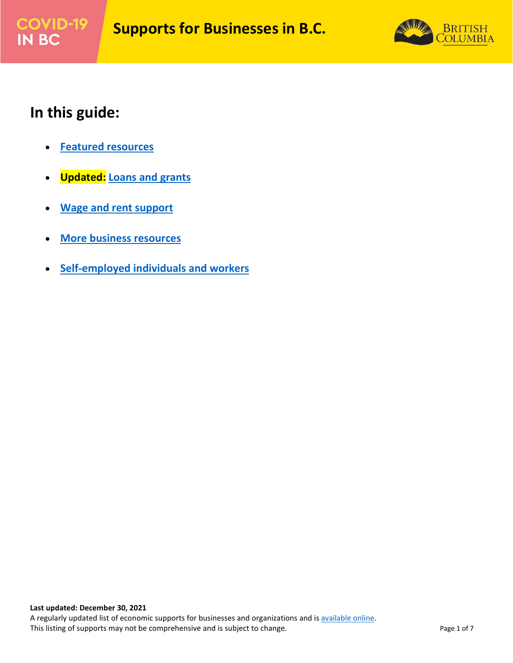



### **In this guide:**

- **[Featured resources](#page-1-0)**
- **Updated: [Loans and grants](#page-1-1)**
- **[Wage and rent support](#page-2-0)**
- **[More business resources](#page-3-0)**
- **[Self-employed individuals and workers](#page-5-0)**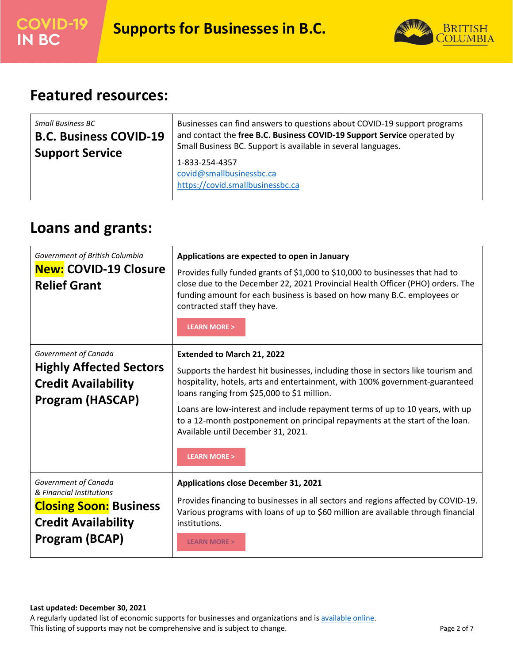

## <span id="page-1-0"></span>**Featured resources:**

| Small Business BC             | Businesses can find answers to questions about COVID-19 support programs       |
|-------------------------------|--------------------------------------------------------------------------------|
| <b>B.C. Business COVID-19</b> | and contact the free B.C. Business COVID-19 Support Service operated by        |
| <b>Support Service</b>        | Small Business BC. Support is available in several languages.                  |
|                               | 1-833-254-4357<br>covid@smallbusinessbc.ca<br>https://covid.smallbusinessbc.ca |

## <span id="page-1-1"></span>**Loans and grants:**

| Government of British Columbia<br><b>New: COVID-19 Closure</b><br><b>Relief Grant</b>                                             | Applications are expected to open in January<br>Provides fully funded grants of \$1,000 to \$10,000 to businesses that had to<br>close due to the December 22, 2021 Provincial Health Officer (PHO) orders. The<br>funding amount for each business is based on how many B.C. employees or<br>contracted staff they have.<br><b>LEARN MORE &gt;</b>                                                                                                                                   |
|-----------------------------------------------------------------------------------------------------------------------------------|---------------------------------------------------------------------------------------------------------------------------------------------------------------------------------------------------------------------------------------------------------------------------------------------------------------------------------------------------------------------------------------------------------------------------------------------------------------------------------------|
| Government of Canada<br><b>Highly Affected Sectors</b><br><b>Credit Availability</b><br><b>Program (HASCAP)</b>                   | <b>Extended to March 21, 2022</b><br>Supports the hardest hit businesses, including those in sectors like tourism and<br>hospitality, hotels, arts and entertainment, with 100% government-guaranteed<br>loans ranging from \$25,000 to \$1 million.<br>Loans are low-interest and include repayment terms of up to 10 years, with up<br>to a 12-month postponement on principal repayments at the start of the loan.<br>Available until December 31, 2021.<br><b>LEARN MORE &gt;</b> |
| Government of Canada<br>& Financial Institutions<br><b>Closing Soon: Business</b><br><b>Credit Availability</b><br>Program (BCAP) | <b>Applications close December 31, 2021</b><br>Provides financing to businesses in all sectors and regions affected by COVID-19.<br>Various programs with loans of up to \$60 million are available through financial<br>institutions.<br><b>LEARN MORE &gt;</b>                                                                                                                                                                                                                      |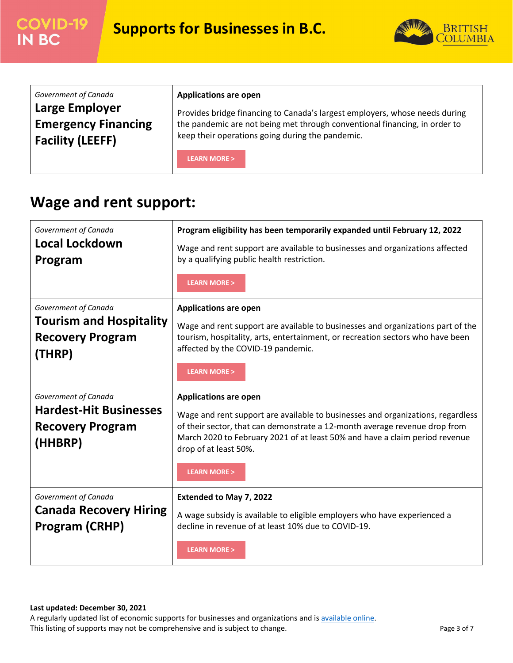



| Government of Canada       | <b>Applications are open</b>                                                |
|----------------------------|-----------------------------------------------------------------------------|
| Large Employer             | Provides bridge financing to Canada's largest employers, whose needs during |
| <b>Emergency Financing</b> | the pandemic are not being met through conventional financing, in order to  |
| <b>Facility (LEEFF)</b>    | keep their operations going during the pandemic.                            |
|                            | <b>LEARN MORE &gt;</b>                                                      |

# <span id="page-2-0"></span>**Wage and rent support:**

| Government of Canada<br><b>Local Lockdown</b><br>Program                                    | Program eligibility has been temporarily expanded until February 12, 2022<br>Wage and rent support are available to businesses and organizations affected<br>by a qualifying public health restriction.<br><b>LEARN MORE &gt;</b>                                                                                               |
|---------------------------------------------------------------------------------------------|---------------------------------------------------------------------------------------------------------------------------------------------------------------------------------------------------------------------------------------------------------------------------------------------------------------------------------|
| Government of Canada<br><b>Tourism and Hospitality</b><br><b>Recovery Program</b><br>(THRP) | <b>Applications are open</b><br>Wage and rent support are available to businesses and organizations part of the<br>tourism, hospitality, arts, entertainment, or recreation sectors who have been<br>affected by the COVID-19 pandemic.<br><b>LEARN MORE &gt;</b>                                                               |
| Government of Canada<br><b>Hardest-Hit Businesses</b><br><b>Recovery Program</b><br>(HHBRP) | <b>Applications are open</b><br>Wage and rent support are available to businesses and organizations, regardless<br>of their sector, that can demonstrate a 12-month average revenue drop from<br>March 2020 to February 2021 of at least 50% and have a claim period revenue<br>drop of at least 50%.<br><b>LEARN MORE &gt;</b> |
| Government of Canada<br><b>Canada Recovery Hiring</b><br>Program (CRHP)                     | Extended to May 7, 2022<br>A wage subsidy is available to eligible employers who have experienced a<br>decline in revenue of at least 10% due to COVID-19.<br><b>LEARN MORE &gt;</b>                                                                                                                                            |

#### **Last updated: December 30, 2021**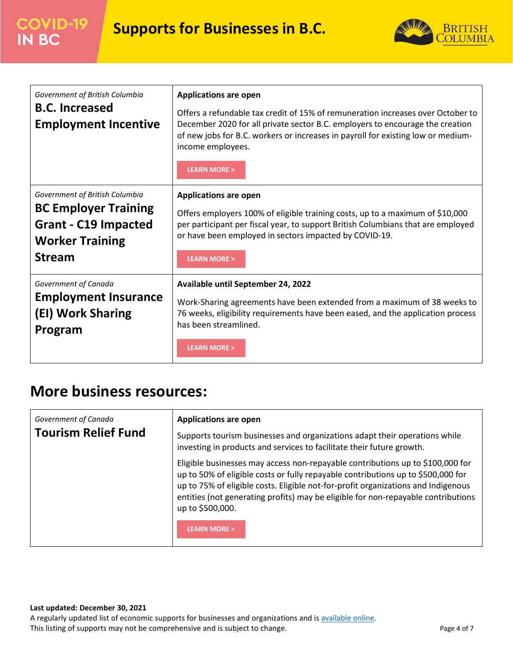

| Government of British Columbia<br><b>B.C. Increased</b><br><b>Employment Incentive</b>                                                  | <b>Applications are open</b><br>Offers a refundable tax credit of 15% of remuneration increases over October to<br>December 2020 for all private sector B.C. employers to encourage the creation<br>of new jobs for B.C. workers or increases in payroll for existing low or medium-<br>income employees.<br><b>LEARN MORE &gt;</b> |
|-----------------------------------------------------------------------------------------------------------------------------------------|-------------------------------------------------------------------------------------------------------------------------------------------------------------------------------------------------------------------------------------------------------------------------------------------------------------------------------------|
| Government of British Columbia<br><b>BC Employer Training</b><br><b>Grant - C19 Impacted</b><br><b>Worker Training</b><br><b>Stream</b> | <b>Applications are open</b><br>Offers employers 100% of eligible training costs, up to a maximum of \$10,000<br>per participant per fiscal year, to support British Columbians that are employed<br>or have been employed in sectors impacted by COVID-19.<br><b>LEARN MORE &gt;</b>                                               |
| Government of Canada<br><b>Employment Insurance</b><br>(EI) Work Sharing<br>Program                                                     | Available until September 24, 2022<br>Work-Sharing agreements have been extended from a maximum of 38 weeks to<br>76 weeks, eligibility requirements have been eased, and the application process<br>has been streamlined.<br><b>LEARN MORE &gt;</b>                                                                                |

### <span id="page-3-0"></span>**More business resources:**

| Government of Canada<br><b>Tourism Relief Fund</b> | <b>Applications are open</b><br>Supports tourism businesses and organizations adapt their operations while<br>investing in products and services to facilitate their future growth.                                                                                                                                                                              |
|----------------------------------------------------|------------------------------------------------------------------------------------------------------------------------------------------------------------------------------------------------------------------------------------------------------------------------------------------------------------------------------------------------------------------|
|                                                    | Eligible businesses may access non-repayable contributions up to \$100,000 for<br>up to 50% of eligible costs or fully repayable contributions up to \$500,000 for<br>up to 75% of eligible costs. Eligible not-for-profit organizations and Indigenous<br>entities (not generating profits) may be eligible for non-repayable contributions<br>up to \$500,000. |
|                                                    | <b>LEARN MORE &gt;</b>                                                                                                                                                                                                                                                                                                                                           |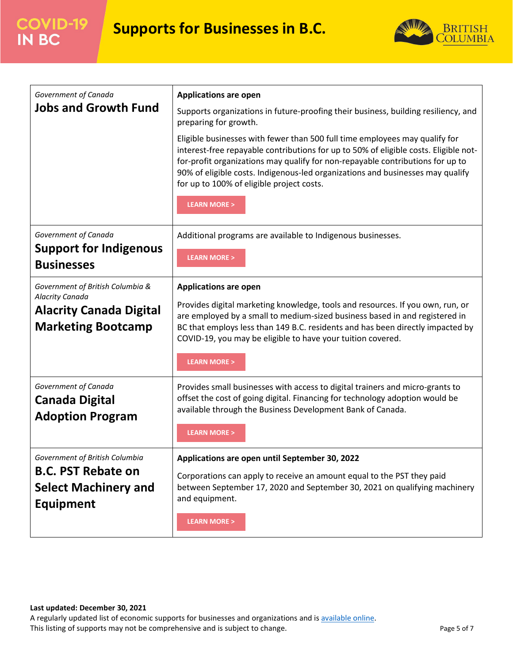

| Government of Canada<br><b>Jobs and Growth Fund</b>                                                                | <b>Applications are open</b><br>Supports organizations in future-proofing their business, building resiliency, and<br>preparing for growth.<br>Eligible businesses with fewer than 500 full time employees may qualify for<br>interest-free repayable contributions for up to 50% of eligible costs. Eligible not-<br>for-profit organizations may qualify for non-repayable contributions for up to<br>90% of eligible costs. Indigenous-led organizations and businesses may qualify<br>for up to 100% of eligible project costs.<br><b>LEARN MORE &gt;</b> |
|--------------------------------------------------------------------------------------------------------------------|---------------------------------------------------------------------------------------------------------------------------------------------------------------------------------------------------------------------------------------------------------------------------------------------------------------------------------------------------------------------------------------------------------------------------------------------------------------------------------------------------------------------------------------------------------------|
| Government of Canada<br><b>Support for Indigenous</b><br><b>Businesses</b>                                         | Additional programs are available to Indigenous businesses.<br><b>LEARN MORE &gt;</b>                                                                                                                                                                                                                                                                                                                                                                                                                                                                         |
| Government of British Columbia &<br>Alacrity Canada<br><b>Alacrity Canada Digital</b><br><b>Marketing Bootcamp</b> | <b>Applications are open</b><br>Provides digital marketing knowledge, tools and resources. If you own, run, or<br>are employed by a small to medium-sized business based in and registered in<br>BC that employs less than 149 B.C. residents and has been directly impacted by<br>COVID-19, you may be eligible to have your tuition covered.<br><b>LEARN MORE &gt;</b>                                                                                                                                                                                      |
| Government of Canada<br><b>Canada Digital</b><br><b>Adoption Program</b>                                           | Provides small businesses with access to digital trainers and micro-grants to<br>offset the cost of going digital. Financing for technology adoption would be<br>available through the Business Development Bank of Canada.<br><b>LEARN MORE &gt;</b>                                                                                                                                                                                                                                                                                                         |
| Government of British Columbia<br><b>B.C. PST Rebate on</b><br><b>Select Machinery and</b><br><b>Equipment</b>     | Applications are open until September 30, 2022<br>Corporations can apply to receive an amount equal to the PST they paid<br>between September 17, 2020 and September 30, 2021 on qualifying machinery<br>and equipment.<br><b>LEARN MORE &gt;</b>                                                                                                                                                                                                                                                                                                             |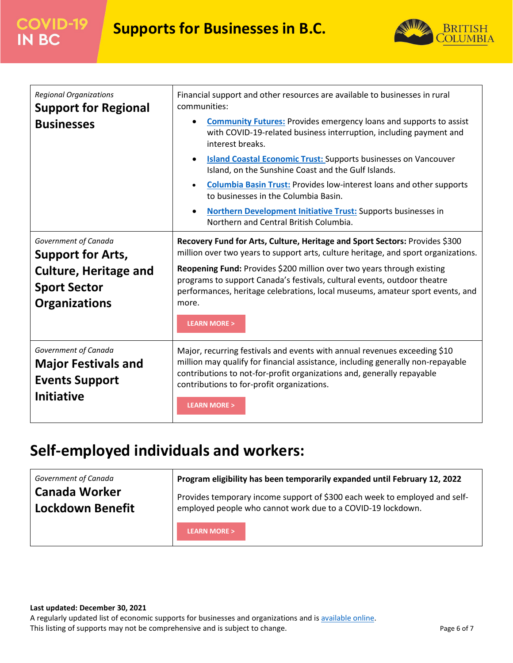

| <b>Regional Organizations</b><br><b>Support for Regional</b>                                     | Financial support and other resources are available to businesses in rural<br>communities:                                                                                                                                                                                                                     |
|--------------------------------------------------------------------------------------------------|----------------------------------------------------------------------------------------------------------------------------------------------------------------------------------------------------------------------------------------------------------------------------------------------------------------|
| <b>Businesses</b>                                                                                | <b>Community Futures:</b> Provides emergency loans and supports to assist<br>with COVID-19-related business interruption, including payment and<br>interest breaks.                                                                                                                                            |
|                                                                                                  | <b>Island Coastal Economic Trust: Supports businesses on Vancouver</b><br>Island, on the Sunshine Coast and the Gulf Islands.                                                                                                                                                                                  |
|                                                                                                  | <b>Columbia Basin Trust: Provides low-interest loans and other supports</b><br>to businesses in the Columbia Basin.                                                                                                                                                                                            |
|                                                                                                  | <b>Northern Development Initiative Trust:</b> Supports businesses in<br>Northern and Central British Columbia.                                                                                                                                                                                                 |
| Government of Canada<br><b>Support for Arts,</b>                                                 | Recovery Fund for Arts, Culture, Heritage and Sport Sectors: Provides \$300<br>million over two years to support arts, culture heritage, and sport organizations.                                                                                                                                              |
| <b>Culture, Heritage and</b><br><b>Sport Sector</b><br><b>Organizations</b>                      | Reopening Fund: Provides \$200 million over two years through existing<br>programs to support Canada's festivals, cultural events, outdoor theatre<br>performances, heritage celebrations, local museums, amateur sport events, and<br>more.<br><b>LEARN MORE &gt;</b>                                         |
| Government of Canada<br><b>Major Festivals and</b><br><b>Events Support</b><br><b>Initiative</b> | Major, recurring festivals and events with annual revenues exceeding \$10<br>million may qualify for financial assistance, including generally non-repayable<br>contributions to not-for-profit organizations and, generally repayable<br>contributions to for-profit organizations.<br><b>LEARN MORE &gt;</b> |

# <span id="page-5-0"></span>**Self-employed individuals and workers:**

| Government of Canada | Program eligibility has been temporarily expanded until February 12, 2022  |
|----------------------|----------------------------------------------------------------------------|
| Canada Worker        | Provides temporary income support of \$300 each week to employed and self- |
| Lockdown Benefit     | employed people who cannot work due to a COVID-19 lockdown.                |
|                      | <b>LEARN MORE &gt;</b>                                                     |

#### **Last updated: December 30, 2021**